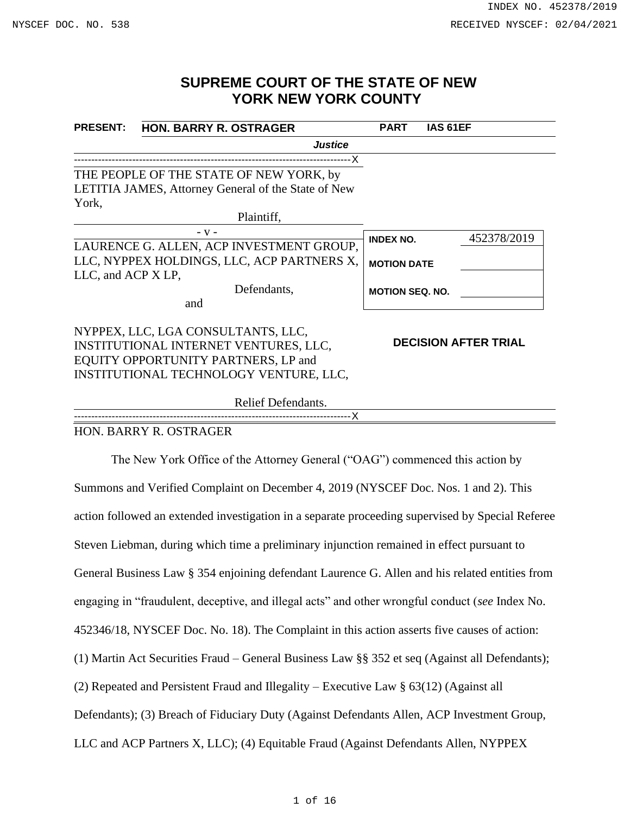# **SUPREME COURT OF THE STATE OF NEW YORK NEW YORK COUNTY**

| <b>PRESENT:</b>                            | <b>HON. BARRY R. OSTRAGER</b>                       | <b>PART</b>                                                                                                    | IAS 61EF |  |
|--------------------------------------------|-----------------------------------------------------|----------------------------------------------------------------------------------------------------------------|----------|--|
|                                            | <b>Justice</b>                                      |                                                                                                                |          |  |
|                                            |                                                     |                                                                                                                |          |  |
|                                            | THE PEOPLE OF THE STATE OF NEW YORK, by             |                                                                                                                |          |  |
|                                            | LETITIA JAMES, Attorney General of the State of New |                                                                                                                |          |  |
| York,                                      |                                                     |                                                                                                                |          |  |
|                                            | Plaintiff,                                          |                                                                                                                |          |  |
|                                            | $- V -$                                             |                                                                                                                |          |  |
|                                            | LAURENCE G. ALLEN, ACP INVESTMENT GROUP,            |                                                                                                                |          |  |
| LLC, NYPPEX HOLDINGS, LLC, ACP PARTNERS X, |                                                     |                                                                                                                |          |  |
| LLC, and ACP X LP,                         |                                                     |                                                                                                                |          |  |
|                                            | Defendants,                                         |                                                                                                                |          |  |
|                                            | and                                                 | 452378/2019<br><b>INDEX NO.</b><br><b>MOTION DATE</b><br><b>MOTION SEQ. NO.</b><br><b>DECISION AFTER TRIAL</b> |          |  |
|                                            | NYPPEX, LLC, LGA CONSULTANTS, LLC,                  |                                                                                                                |          |  |
| INSTITUTIONAL INTERNET VENTURES, LLC,      |                                                     |                                                                                                                |          |  |
|                                            | EQUITY OPPORTUNITY PARTNERS, LP and                 |                                                                                                                |          |  |
|                                            | INSTITUTIONAL TECHNOLOGY VENTURE, LLC,              |                                                                                                                |          |  |
|                                            | Relief Defendants.                                  |                                                                                                                |          |  |

---------------------------------------------------------------------------------X

## HON. BARRY R. OSTRAGER

The New York Office of the Attorney General ("OAG") commenced this action by Summons and Verified Complaint on December 4, 2019 (NYSCEF Doc. Nos. 1 and 2). This action followed an extended investigation in a separate proceeding supervised by Special Referee Steven Liebman, during which time a preliminary injunction remained in effect pursuant to General Business Law § 354 enjoining defendant Laurence G. Allen and his related entities from engaging in "fraudulent, deceptive, and illegal acts" and other wrongful conduct (*see* Index No. 452346/18, NYSCEF Doc. No. 18). The Complaint in this action asserts five causes of action: (1) Martin Act Securities Fraud – General Business Law §§ 352 et seq (Against all Defendants); (2) Repeated and Persistent Fraud and Illegality – Executive Law § 63(12) (Against all Defendants); (3) Breach of Fiduciary Duty (Against Defendants Allen, ACP Investment Group, LLC and ACP Partners X, LLC); (4) Equitable Fraud (Against Defendants Allen, NYPPEX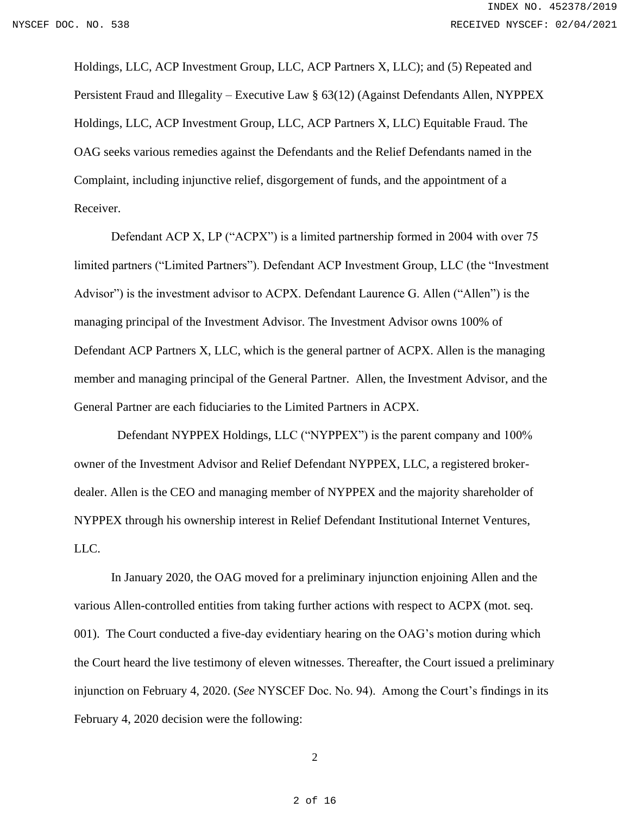Holdings, LLC, ACP Investment Group, LLC, ACP Partners X, LLC); and (5) Repeated and Persistent Fraud and Illegality – Executive Law § 63(12) (Against Defendants Allen, NYPPEX Holdings, LLC, ACP Investment Group, LLC, ACP Partners X, LLC) Equitable Fraud. The OAG seeks various remedies against the Defendants and the Relief Defendants named in the Complaint, including injunctive relief, disgorgement of funds, and the appointment of a Receiver.

Defendant ACP X, LP ("ACPX") is a limited partnership formed in 2004 with over 75 limited partners ("Limited Partners"). Defendant ACP Investment Group, LLC (the "Investment Advisor") is the investment advisor to ACPX. Defendant Laurence G. Allen ("Allen") is the managing principal of the Investment Advisor. The Investment Advisor owns 100% of Defendant ACP Partners X, LLC, which is the general partner of ACPX. Allen is the managing member and managing principal of the General Partner. Allen, the Investment Advisor, and the General Partner are each fiduciaries to the Limited Partners in ACPX.

 Defendant NYPPEX Holdings, LLC ("NYPPEX") is the parent company and 100% owner of the Investment Advisor and Relief Defendant NYPPEX, LLC, a registered brokerdealer. Allen is the CEO and managing member of NYPPEX and the majority shareholder of NYPPEX through his ownership interest in Relief Defendant Institutional Internet Ventures, LLC.

In January 2020, the OAG moved for a preliminary injunction enjoining Allen and the various Allen-controlled entities from taking further actions with respect to ACPX (mot. seq. 001). The Court conducted a five-day evidentiary hearing on the OAG's motion during which the Court heard the live testimony of eleven witnesses. Thereafter, the Court issued a preliminary injunction on February 4, 2020. (*See* NYSCEF Doc. No. 94). Among the Court's findings in its February 4, 2020 decision were the following: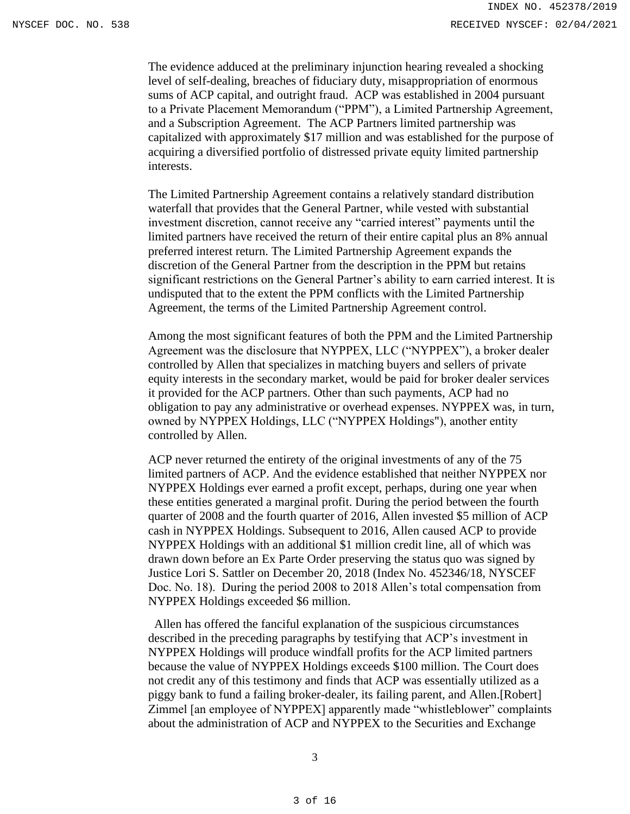The evidence adduced at the preliminary injunction hearing revealed a shocking level of self-dealing, breaches of fiduciary duty, misappropriation of enormous sums of ACP capital, and outright fraud. ACP was established in 2004 pursuant to a Private Placement Memorandum ("PPM"), a Limited Partnership Agreement, and a Subscription Agreement. The ACP Partners limited partnership was capitalized with approximately \$17 million and was established for the purpose of acquiring a diversified portfolio of distressed private equity limited partnership interests.

The Limited Partnership Agreement contains a relatively standard distribution waterfall that provides that the General Partner, while vested with substantial investment discretion, cannot receive any "carried interest" payments until the limited partners have received the return of their entire capital plus an 8% annual preferred interest return. The Limited Partnership Agreement expands the discretion of the General Partner from the description in the PPM but retains significant restrictions on the General Partner's ability to earn carried interest. It is undisputed that to the extent the PPM conflicts with the Limited Partnership Agreement, the terms of the Limited Partnership Agreement control.

Among the most significant features of both the PPM and the Limited Partnership Agreement was the disclosure that NYPPEX, LLC ("NYPPEX"), a broker dealer controlled by Allen that specializes in matching buyers and sellers of private equity interests in the secondary market, would be paid for broker dealer services it provided for the ACP partners. Other than such payments, ACP had no obligation to pay any administrative or overhead expenses. NYPPEX was, in turn, owned by NYPPEX Holdings, LLC ("NYPPEX Holdings"), another entity controlled by Allen.

ACP never returned the entirety of the original investments of any of the 75 limited partners of ACP. And the evidence established that neither NYPPEX nor NYPPEX Holdings ever earned a profit except, perhaps, during one year when these entities generated a marginal profit. During the period between the fourth quarter of 2008 and the fourth quarter of 2016, Allen invested \$5 million of ACP cash in NYPPEX Holdings. Subsequent to 2016, Allen caused ACP to provide NYPPEX Holdings with an additional \$1 million credit line, all of which was drawn down before an Ex Parte Order preserving the status quo was signed by Justice Lori S. Sattler on December 20, 2018 (Index No. 452346/18, NYSCEF Doc. No. 18). During the period 2008 to 2018 Allen's total compensation from NYPPEX Holdings exceeded \$6 million.

 Allen has offered the fanciful explanation of the suspicious circumstances described in the preceding paragraphs by testifying that ACP's investment in NYPPEX Holdings will produce windfall profits for the ACP limited partners because the value of NYPPEX Holdings exceeds \$100 million. The Court does not credit any of this testimony and finds that ACP was essentially utilized as a piggy bank to fund a failing broker-dealer, its failing parent, and Allen.[Robert] Zimmel [an employee of NYPPEX] apparently made "whistleblower" complaints about the administration of ACP and NYPPEX to the Securities and Exchange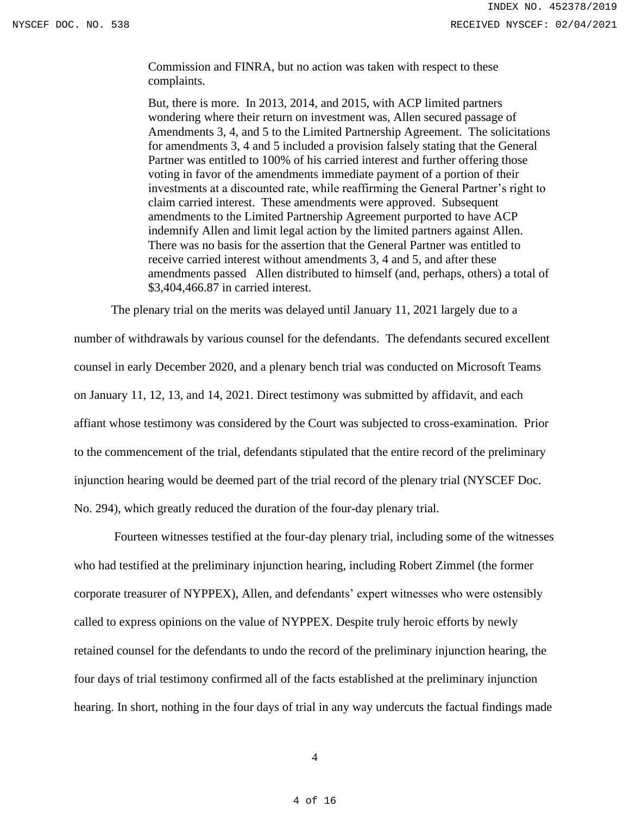Commission and FINRA, but no action was taken with respect to these complaints.

But, there is more. In 2013, 2014, and 2015, with ACP limited partners wondering where their return on investment was, Allen secured passage of Amendments 3, 4, and 5 to the Limited Partnership Agreement. The solicitations for amendments 3, 4 and 5 included a provision falsely stating that the General Partner was entitled to 100% of his carried interest and further offering those voting in favor of the amendments immediate payment of a portion of their investments at a discounted rate, while reaffirming the General Partner's right to claim carried interest. These amendments were approved. Subsequent amendments to the Limited Partnership Agreement purported to have ACP indemnify Allen and limit legal action by the limited partners against Allen. There was no basis for the assertion that the General Partner was entitled to receive carried interest without amendments 3, 4 and 5, and after these amendments passed Allen distributed to himself (and, perhaps, others) a total of \$3,404,466.87 in carried interest.

The plenary trial on the merits was delayed until January 11, 2021 largely due to a

number of withdrawals by various counsel for the defendants. The defendants secured excellent counsel in early December 2020, and a plenary bench trial was conducted on Microsoft Teams on January 11, 12, 13, and 14, 2021. Direct testimony was submitted by affidavit, and each affiant whose testimony was considered by the Court was subjected to cross-examination. Prior to the commencement of the trial, defendants stipulated that the entire record of the preliminary injunction hearing would be deemed part of the trial record of the plenary trial (NYSCEF Doc. No. 294), which greatly reduced the duration of the four-day plenary trial.

Fourteen witnesses testified at the four-day plenary trial, including some of the witnesses who had testified at the preliminary injunction hearing, including Robert Zimmel (the former corporate treasurer of NYPPEX), Allen, and defendants' expert witnesses who were ostensibly called to express opinions on the value of NYPPEX. Despite truly heroic efforts by newly retained counsel for the defendants to undo the record of the preliminary injunction hearing, the four days of trial testimony confirmed all of the facts established at the preliminary injunction hearing. In short, nothing in the four days of trial in any way undercuts the factual findings made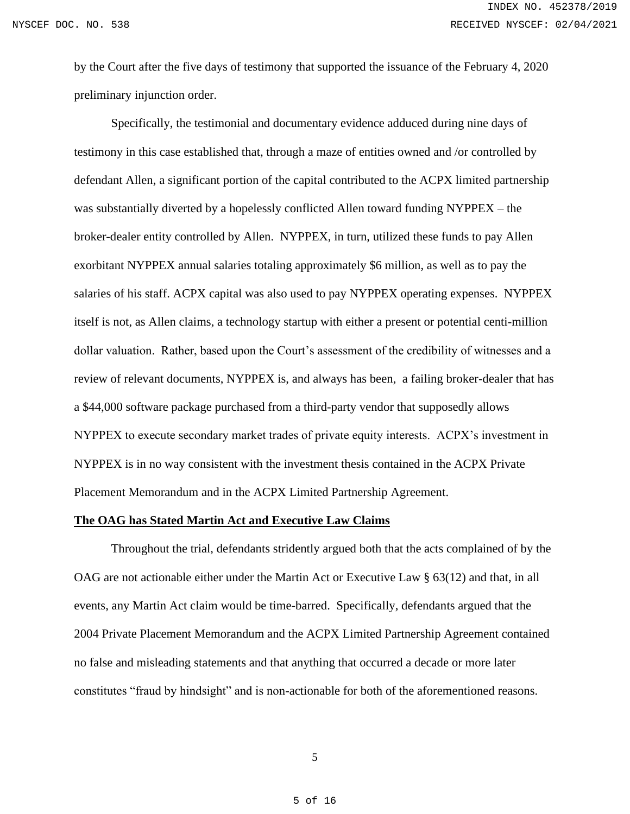by the Court after the five days of testimony that supported the issuance of the February 4, 2020 preliminary injunction order.

Specifically, the testimonial and documentary evidence adduced during nine days of testimony in this case established that, through a maze of entities owned and /or controlled by defendant Allen, a significant portion of the capital contributed to the ACPX limited partnership was substantially diverted by a hopelessly conflicted Allen toward funding NYPPEX – the broker-dealer entity controlled by Allen. NYPPEX, in turn, utilized these funds to pay Allen exorbitant NYPPEX annual salaries totaling approximately \$6 million, as well as to pay the salaries of his staff. ACPX capital was also used to pay NYPPEX operating expenses. NYPPEX itself is not, as Allen claims, a technology startup with either a present or potential centi-million dollar valuation. Rather, based upon the Court's assessment of the credibility of witnesses and a review of relevant documents, NYPPEX is, and always has been, a failing broker-dealer that has a \$44,000 software package purchased from a third-party vendor that supposedly allows NYPPEX to execute secondary market trades of private equity interests. ACPX's investment in NYPPEX is in no way consistent with the investment thesis contained in the ACPX Private Placement Memorandum and in the ACPX Limited Partnership Agreement.

#### **The OAG has Stated Martin Act and Executive Law Claims**

Throughout the trial, defendants stridently argued both that the acts complained of by the OAG are not actionable either under the Martin Act or Executive Law § 63(12) and that, in all events, any Martin Act claim would be time-barred. Specifically, defendants argued that the 2004 Private Placement Memorandum and the ACPX Limited Partnership Agreement contained no false and misleading statements and that anything that occurred a decade or more later constitutes "fraud by hindsight" and is non-actionable for both of the aforementioned reasons.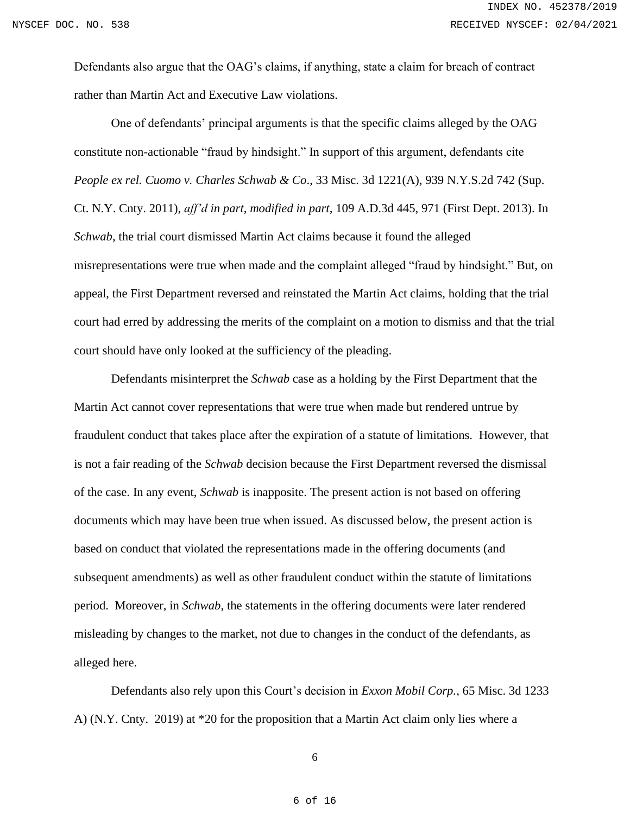Defendants also argue that the OAG's claims, if anything, state a claim for breach of contract rather than Martin Act and Executive Law violations.

One of defendants' principal arguments is that the specific claims alleged by the OAG constitute non-actionable "fraud by hindsight." In support of this argument, defendants cite *People ex rel. Cuomo v. Charles Schwab & Co*., 33 Misc. 3d 1221(A), 939 N.Y.S.2d 742 (Sup. Ct. N.Y. Cnty. 2011), *aff'd in part, modified in part,* 109 A.D.3d 445, 971 (First Dept. 2013). In *Schwab*, the trial court dismissed Martin Act claims because it found the alleged misrepresentations were true when made and the complaint alleged "fraud by hindsight." But, on appeal, the First Department reversed and reinstated the Martin Act claims, holding that the trial court had erred by addressing the merits of the complaint on a motion to dismiss and that the trial court should have only looked at the sufficiency of the pleading.

Defendants misinterpret the *Schwab* case as a holding by the First Department that the Martin Act cannot cover representations that were true when made but rendered untrue by fraudulent conduct that takes place after the expiration of a statute of limitations. However, that is not a fair reading of the *Schwab* decision because the First Department reversed the dismissal of the case. In any event, *Schwab* is inapposite. The present action is not based on offering documents which may have been true when issued. As discussed below, the present action is based on conduct that violated the representations made in the offering documents (and subsequent amendments) as well as other fraudulent conduct within the statute of limitations period. Moreover, in *Schwab*, the statements in the offering documents were later rendered misleading by changes to the market, not due to changes in the conduct of the defendants, as alleged here.

Defendants also rely upon this Court's decision in *Exxon Mobil Corp.*, 65 Misc. 3d 1233 A) (N.Y. Cnty. 2019) at \*20 for the proposition that a Martin Act claim only lies where a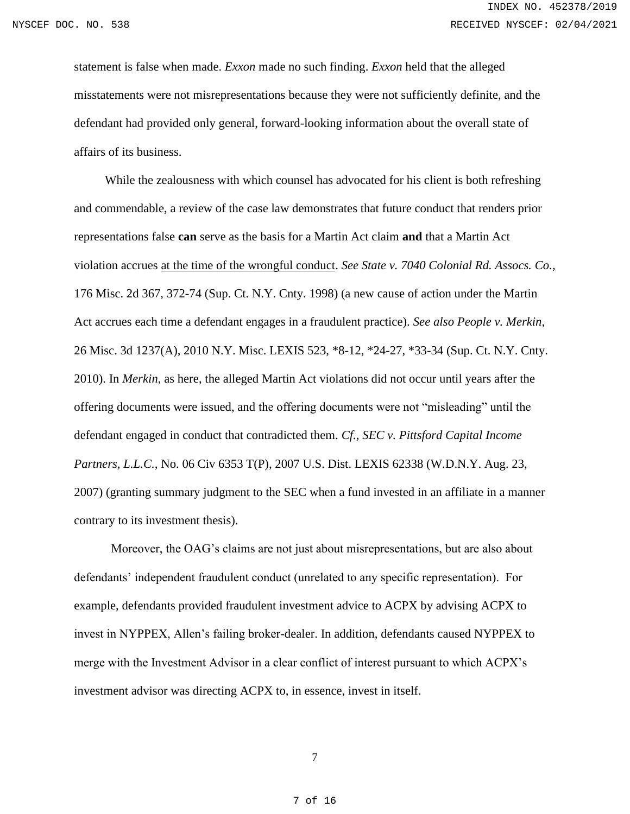statement is false when made. *Exxon* made no such finding. *Exxon* held that the alleged misstatements were not misrepresentations because they were not sufficiently definite, and the defendant had provided only general, forward-looking information about the overall state of affairs of its business.

 While the zealousness with which counsel has advocated for his client is both refreshing and commendable, a review of the case law demonstrates that future conduct that renders prior representations false **can** serve as the basis for a Martin Act claim **and** that a Martin Act violation accrues at the time of the wrongful conduct. *See State v. 7040 Colonial Rd. Assocs. Co.,*  176 Misc. 2d 367, 372-74 (Sup. Ct. N.Y. Cnty. 1998) (a new cause of action under the Martin Act accrues each time a defendant engages in a fraudulent practice). *See also People v. Merkin,* 26 Misc. 3d 1237(A), 2010 N.Y. Misc. LEXIS 523, \*8-12, \*24-27, \*33-34 (Sup. Ct. N.Y. Cnty. 2010). In *Merkin*, as here, the alleged Martin Act violations did not occur until years after the offering documents were issued, and the offering documents were not "misleading" until the defendant engaged in conduct that contradicted them. *Cf., SEC v. Pittsford Capital Income Partners, L.L.C., No.* 06 Civ 6353 T(P), 2007 U.S. Dist. LEXIS 62338 (W.D.N.Y. Aug. 23, 2007) (granting summary judgment to the SEC when a fund invested in an affiliate in a manner contrary to its investment thesis).

Moreover, the OAG's claims are not just about misrepresentations, but are also about defendants' independent fraudulent conduct (unrelated to any specific representation). For example, defendants provided fraudulent investment advice to ACPX by advising ACPX to invest in NYPPEX, Allen's failing broker-dealer. In addition, defendants caused NYPPEX to merge with the Investment Advisor in a clear conflict of interest pursuant to which ACPX's investment advisor was directing ACPX to, in essence, invest in itself.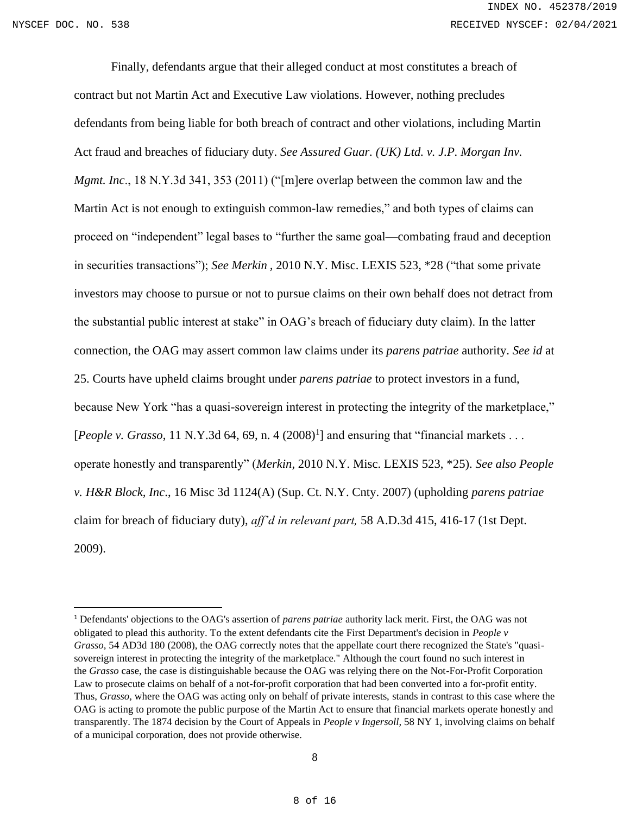Finally, defendants argue that their alleged conduct at most constitutes a breach of contract but not Martin Act and Executive Law violations. However, nothing precludes defendants from being liable for both breach of contract and other violations, including Martin Act fraud and breaches of fiduciary duty. *See Assured Guar. (UK) Ltd. v. J.P. Morgan Inv. Mgmt. Inc*., 18 N.Y.3d 341, 353 (2011) ("[m]ere overlap between the common law and the Martin Act is not enough to extinguish common-law remedies," and both types of claims can proceed on "independent" legal bases to "further the same goal—combating fraud and deception in securities transactions"); *See Merkin*, 2010 N.Y. Misc. LEXIS 523, \*28 ("that some private investors may choose to pursue or not to pursue claims on their own behalf does not detract from the substantial public interest at stake" in OAG's breach of fiduciary duty claim). In the latter connection, the OAG may assert common law claims under its *parens patriae* authority. *See id* at 25. Courts have upheld claims brought under *parens patriae* to protect investors in a fund, because New York "has a quasi-sovereign interest in protecting the integrity of the marketplace," [People v. Grasso, 11 N.Y.3d 64, 69, n. 4  $(2008)^1$ ] and ensuring that "financial markets . . . operate honestly and transparently" (*Merkin,* 2010 N.Y. Misc. LEXIS 523, \*25). *See also People v. H&R Block, Inc*., 16 Misc 3d 1124(A) (Sup. Ct. N.Y. Cnty. 2007) (upholding *parens patriae* claim for breach of fiduciary duty), *aff'd in relevant part,* 58 A.D.3d 415, 416-17 (1st Dept. 2009).

<sup>1</sup> Defendants' objections to the OAG's assertion of *parens patriae* authority lack merit. First, the OAG was not obligated to plead this authority. To the extent defendants cite the First Department's decision in *People v Grasso,* 54 AD3d 180 (2008), the OAG correctly notes that the appellate court there recognized the State's "quasisovereign interest in protecting the integrity of the marketplace." Although the court found no such interest in the *Grasso* case, the case is distinguishable because the OAG was relying there on the Not-For-Profit Corporation Law to prosecute claims on behalf of a not-for-profit corporation that had been converted into a for-profit entity. Thus, *Grasso,* where the OAG was acting only on behalf of private interests, stands in contrast to this case where the OAG is acting to promote the public purpose of the Martin Act to ensure that financial markets operate honestly and transparently. The 1874 decision by the Court of Appeals in *People v Ingersoll,* 58 NY 1, involving claims on behalf of a municipal corporation, does not provide otherwise.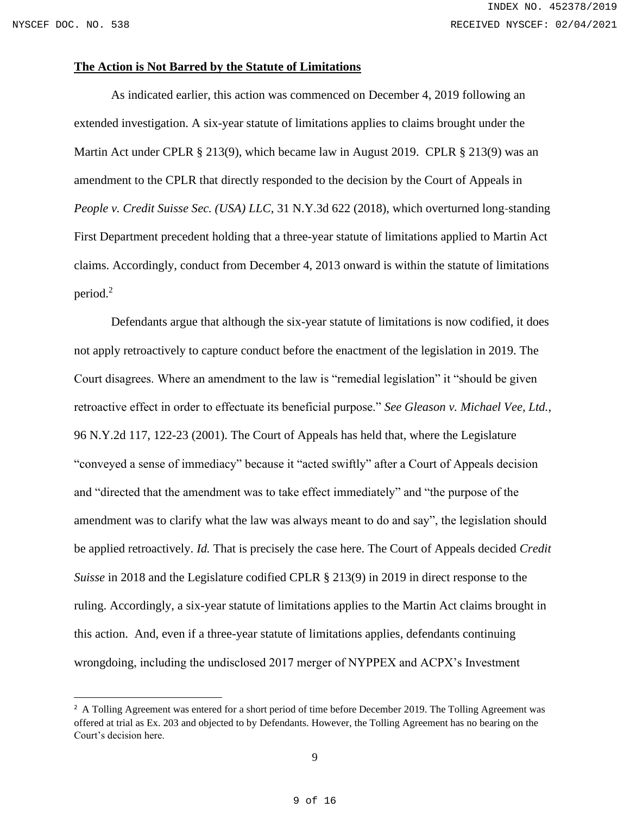#### **The Action is Not Barred by the Statute of Limitations**

As indicated earlier, this action was commenced on December 4, 2019 following an extended investigation. A six-year statute of limitations applies to claims brought under the Martin Act under CPLR § 213(9), which became law in August 2019. CPLR § 213(9) was an amendment to the CPLR that directly responded to the decision by the Court of Appeals in *People v. Credit Suisse Sec. (USA) LLC*, 31 N.Y.3d 622 (2018), which overturned long-standing First Department precedent holding that a three-year statute of limitations applied to Martin Act claims. Accordingly, conduct from December 4, 2013 onward is within the statute of limitations period.<sup>2</sup>

Defendants argue that although the six-year statute of limitations is now codified, it does not apply retroactively to capture conduct before the enactment of the legislation in 2019. The Court disagrees. Where an amendment to the law is "remedial legislation" it "should be given retroactive effect in order to effectuate its beneficial purpose." *See Gleason v. Michael Vee, Ltd.*, 96 N.Y.2d 117, 122-23 (2001). The Court of Appeals has held that, where the Legislature "conveyed a sense of immediacy" because it "acted swiftly" after a Court of Appeals decision and "directed that the amendment was to take effect immediately" and "the purpose of the amendment was to clarify what the law was always meant to do and say", the legislation should be applied retroactively. *Id.* That is precisely the case here. The Court of Appeals decided *Credit Suisse* in 2018 and the Legislature codified CPLR § 213(9) in 2019 in direct response to the ruling. Accordingly, a six-year statute of limitations applies to the Martin Act claims brought in this action. And, even if a three-year statute of limitations applies, defendants continuing wrongdoing, including the undisclosed 2017 merger of NYPPEX and ACPX's Investment

<sup>&</sup>lt;sup>2</sup> A Tolling Agreement was entered for a short period of time before December 2019. The Tolling Agreement was offered at trial as Ex. 203 and objected to by Defendants. However, the Tolling Agreement has no bearing on the Court's decision here.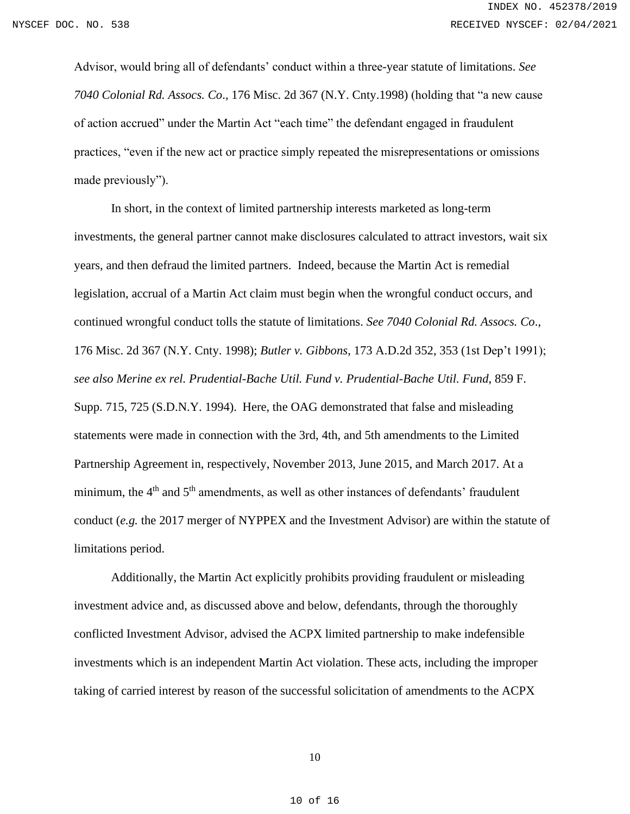Advisor, would bring all of defendants' conduct within a three-year statute of limitations. *See 7040 Colonial Rd. Assocs. Co*., 176 Misc. 2d 367 (N.Y. Cnty.1998) (holding that "a new cause of action accrued" under the Martin Act "each time" the defendant engaged in fraudulent practices, "even if the new act or practice simply repeated the misrepresentations or omissions made previously").

In short, in the context of limited partnership interests marketed as long-term investments, the general partner cannot make disclosures calculated to attract investors, wait six years, and then defraud the limited partners. Indeed, because the Martin Act is remedial legislation, accrual of a Martin Act claim must begin when the wrongful conduct occurs, and continued wrongful conduct tolls the statute of limitations. *See 7040 Colonial Rd. Assocs. Co*., 176 Misc. 2d 367 (N.Y. Cnty. 1998); *Butler v. Gibbons*, 173 A.D.2d 352, 353 (1st Dep't 1991); *see also Merine ex rel. Prudential-Bache Util. Fund v. Prudential-Bache Util. Fund*, 859 F. Supp. 715, 725 (S.D.N.Y. 1994). Here, the OAG demonstrated that false and misleading statements were made in connection with the 3rd, 4th, and 5th amendments to the Limited Partnership Agreement in, respectively, November 2013, June 2015, and March 2017. At a minimum, the  $4<sup>th</sup>$  and  $5<sup>th</sup>$  amendments, as well as other instances of defendants' fraudulent conduct (*e.g.* the 2017 merger of NYPPEX and the Investment Advisor) are within the statute of limitations period.

Additionally, the Martin Act explicitly prohibits providing fraudulent or misleading investment advice and, as discussed above and below, defendants, through the thoroughly conflicted Investment Advisor, advised the ACPX limited partnership to make indefensible investments which is an independent Martin Act violation. These acts, including the improper taking of carried interest by reason of the successful solicitation of amendments to the ACPX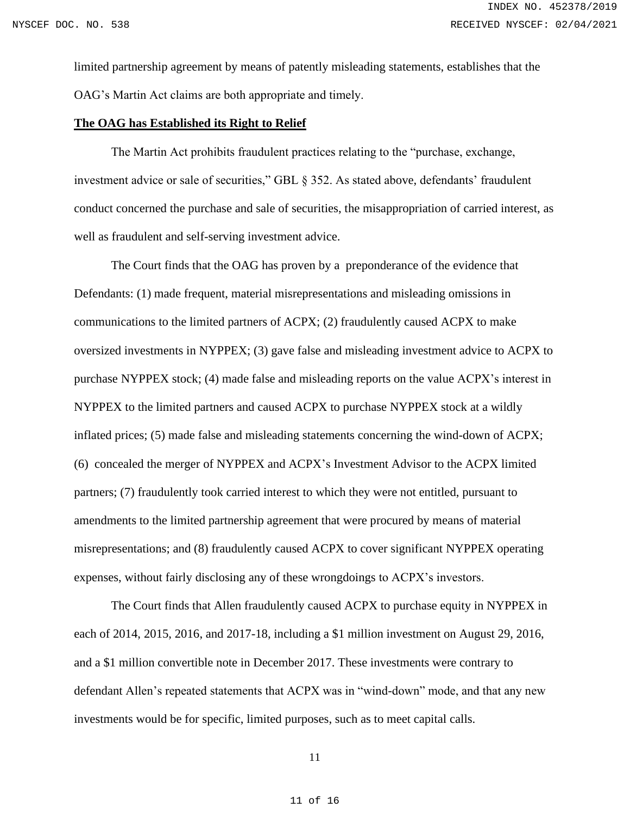limited partnership agreement by means of patently misleading statements, establishes that the OAG's Martin Act claims are both appropriate and timely.

#### **The OAG has Established its Right to Relief**

The Martin Act prohibits fraudulent practices relating to the "purchase, exchange, investment advice or sale of securities," GBL § 352. As stated above, defendants' fraudulent conduct concerned the purchase and sale of securities, the misappropriation of carried interest, as well as fraudulent and self-serving investment advice.

The Court finds that the OAG has proven by a preponderance of the evidence that Defendants: (1) made frequent, material misrepresentations and misleading omissions in communications to the limited partners of ACPX; (2) fraudulently caused ACPX to make oversized investments in NYPPEX; (3) gave false and misleading investment advice to ACPX to purchase NYPPEX stock; (4) made false and misleading reports on the value ACPX's interest in NYPPEX to the limited partners and caused ACPX to purchase NYPPEX stock at a wildly inflated prices; (5) made false and misleading statements concerning the wind-down of ACPX; (6) concealed the merger of NYPPEX and ACPX's Investment Advisor to the ACPX limited partners; (7) fraudulently took carried interest to which they were not entitled, pursuant to amendments to the limited partnership agreement that were procured by means of material misrepresentations; and (8) fraudulently caused ACPX to cover significant NYPPEX operating expenses, without fairly disclosing any of these wrongdoings to ACPX's investors.

 The Court finds that Allen fraudulently caused ACPX to purchase equity in NYPPEX in each of 2014, 2015, 2016, and 2017-18, including a \$1 million investment on August 29, 2016, and a \$1 million convertible note in December 2017. These investments were contrary to defendant Allen's repeated statements that ACPX was in "wind-down" mode, and that any new investments would be for specific, limited purposes, such as to meet capital calls.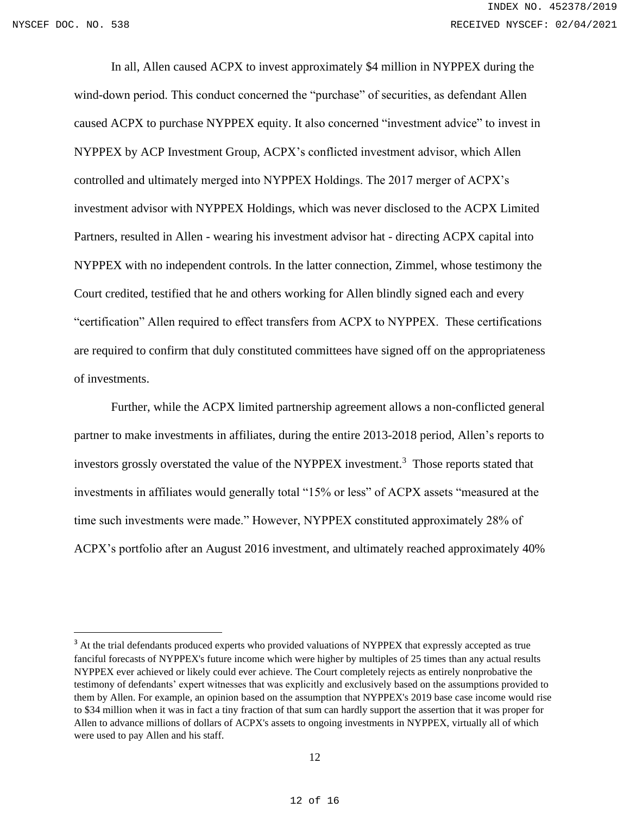In all, Allen caused ACPX to invest approximately \$4 million in NYPPEX during the wind-down period. This conduct concerned the "purchase" of securities, as defendant Allen caused ACPX to purchase NYPPEX equity. It also concerned "investment advice" to invest in NYPPEX by ACP Investment Group, ACPX's conflicted investment advisor, which Allen controlled and ultimately merged into NYPPEX Holdings. The 2017 merger of ACPX's investment advisor with NYPPEX Holdings, which was never disclosed to the ACPX Limited Partners, resulted in Allen - wearing his investment advisor hat - directing ACPX capital into NYPPEX with no independent controls. In the latter connection, Zimmel, whose testimony the Court credited, testified that he and others working for Allen blindly signed each and every "certification" Allen required to effect transfers from ACPX to NYPPEX. These certifications are required to confirm that duly constituted committees have signed off on the appropriateness of investments.

Further, while the ACPX limited partnership agreement allows a non-conflicted general partner to make investments in affiliates, during the entire 2013-2018 period, Allen's reports to investors grossly overstated the value of the NYPPEX investment.<sup>3</sup> Those reports stated that investments in affiliates would generally total "15% or less" of ACPX assets "measured at the time such investments were made." However, NYPPEX constituted approximately 28% of ACPX's portfolio after an August 2016 investment, and ultimately reached approximately 40%

<sup>&</sup>lt;sup>3</sup> At the trial defendants produced experts who provided valuations of NYPPEX that expressly accepted as true fanciful forecasts of NYPPEX's future income which were higher by multiples of 25 times than any actual results NYPPEX ever achieved or likely could ever achieve. The Court completely rejects as entirely nonprobative the testimony of defendants' expert witnesses that was explicitly and exclusively based on the assumptions provided to them by Allen. For example, an opinion based on the assumption that NYPPEX's 2019 base case income would rise to \$34 million when it was in fact a tiny fraction of that sum can hardly support the assertion that it was proper for Allen to advance millions of dollars of ACPX's assets to ongoing investments in NYPPEX, virtually all of which were used to pay Allen and his staff.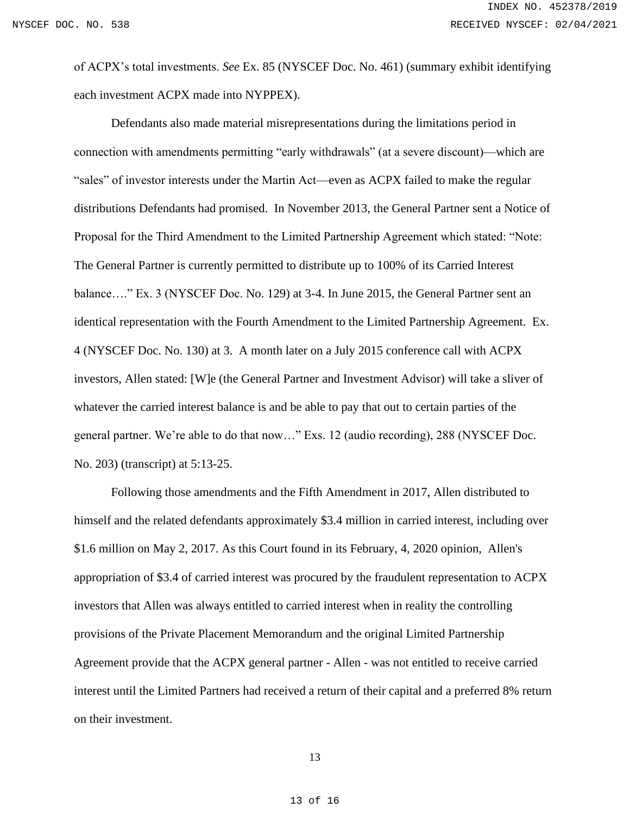of ACPX's total investments. *See* Ex. 85 (NYSCEF Doc. No. 461) (summary exhibit identifying each investment ACPX made into NYPPEX).

Defendants also made material misrepresentations during the limitations period in connection with amendments permitting "early withdrawals" (at a severe discount)—which are "sales" of investor interests under the Martin Act—even as ACPX failed to make the regular distributions Defendants had promised. In November 2013, the General Partner sent a Notice of Proposal for the Third Amendment to the Limited Partnership Agreement which stated: "Note: The General Partner is currently permitted to distribute up to 100% of its Carried Interest balance…." Ex. 3 (NYSCEF Doc. No. 129) at 3-4. In June 2015, the General Partner sent an identical representation with the Fourth Amendment to the Limited Partnership Agreement. Ex. 4 (NYSCEF Doc. No. 130) at 3. A month later on a July 2015 conference call with ACPX investors, Allen stated: [W]e (the General Partner and Investment Advisor) will take a sliver of whatever the carried interest balance is and be able to pay that out to certain parties of the general partner. We're able to do that now…" Exs. 12 (audio recording), 288 (NYSCEF Doc. No. 203) (transcript) at 5:13-25.

Following those amendments and the Fifth Amendment in 2017, Allen distributed to himself and the related defendants approximately \$3.4 million in carried interest, including over \$1.6 million on May 2, 2017. As this Court found in its February, 4, 2020 opinion, Allen's appropriation of \$3.4 of carried interest was procured by the fraudulent representation to ACPX investors that Allen was always entitled to carried interest when in reality the controlling provisions of the Private Placement Memorandum and the original Limited Partnership Agreement provide that the ACPX general partner - Allen - was not entitled to receive carried interest until the Limited Partners had received a return of their capital and a preferred 8% return on their investment.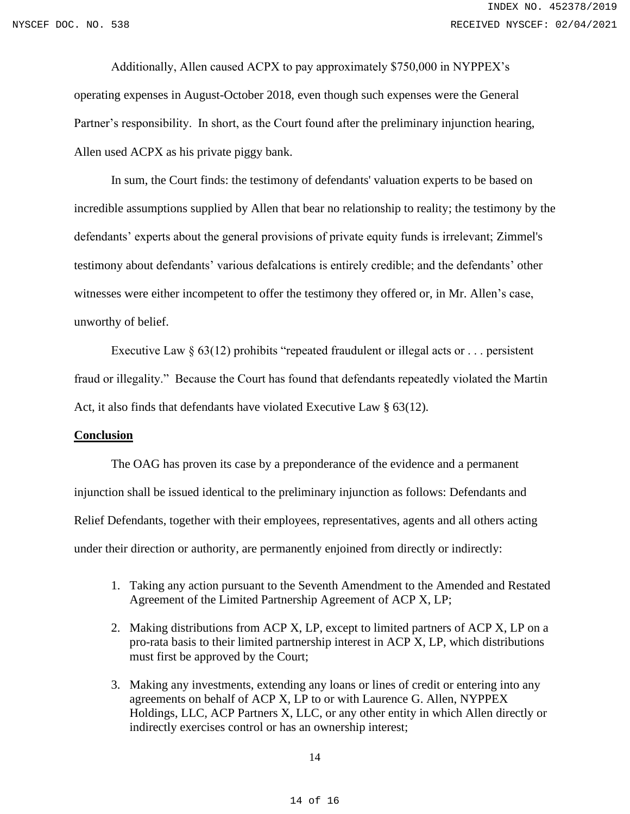Additionally, Allen caused ACPX to pay approximately \$750,000 in NYPPEX's operating expenses in August-October 2018, even though such expenses were the General Partner's responsibility. In short, as the Court found after the preliminary injunction hearing, Allen used ACPX as his private piggy bank.

In sum, the Court finds: the testimony of defendants' valuation experts to be based on incredible assumptions supplied by Allen that bear no relationship to reality; the testimony by the defendants' experts about the general provisions of private equity funds is irrelevant; Zimmel's testimony about defendants' various defalcations is entirely credible; and the defendants' other witnesses were either incompetent to offer the testimony they offered or, in Mr. Allen's case, unworthy of belief.

Executive Law  $\S 63(12)$  prohibits "repeated fraudulent or illegal acts or ... persistent fraud or illegality." Because the Court has found that defendants repeatedly violated the Martin Act, it also finds that defendants have violated Executive Law § 63(12).

### **Conclusion**

The OAG has proven its case by a preponderance of the evidence and a permanent injunction shall be issued identical to the preliminary injunction as follows: Defendants and Relief Defendants, together with their employees, representatives, agents and all others acting under their direction or authority, are permanently enjoined from directly or indirectly:

- 1. Taking any action pursuant to the Seventh Amendment to the Amended and Restated Agreement of the Limited Partnership Agreement of ACP X, LP;
- 2. Making distributions from ACP X, LP, except to limited partners of ACP X, LP on a pro-rata basis to their limited partnership interest in ACP X, LP, which distributions must first be approved by the Court;
- 3. Making any investments, extending any loans or lines of credit or entering into any agreements on behalf of ACP X, LP to or with Laurence G. Allen, NYPPEX Holdings, LLC, ACP Partners X, LLC, or any other entity in which Allen directly or indirectly exercises control or has an ownership interest;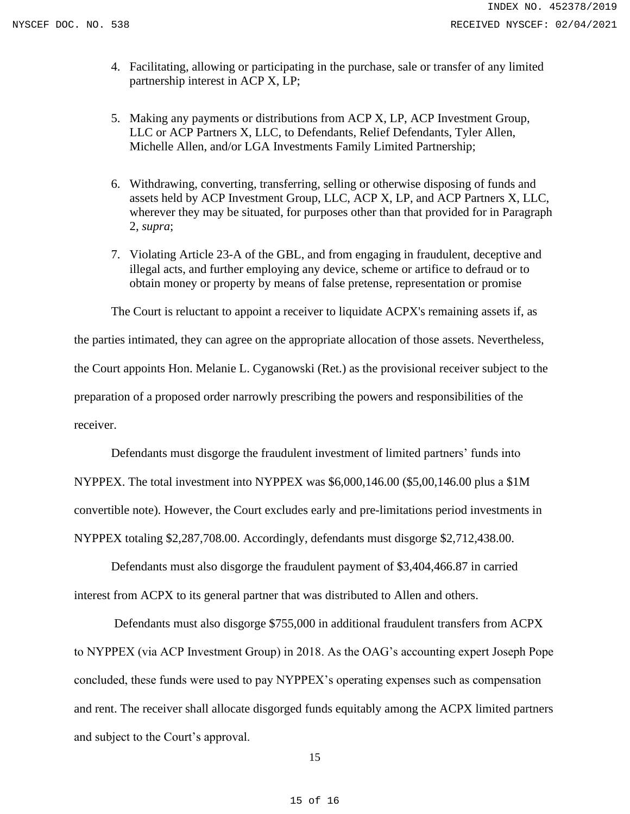- 4. Facilitating, allowing or participating in the purchase, sale or transfer of any limited partnership interest in ACP X, LP;
- 5. Making any payments or distributions from ACP X, LP, ACP Investment Group, LLC or ACP Partners X, LLC, to Defendants, Relief Defendants, Tyler Allen, Michelle Allen, and/or LGA Investments Family Limited Partnership;
- 6. Withdrawing, converting, transferring, selling or otherwise disposing of funds and assets held by ACP Investment Group, LLC, ACP X, LP, and ACP Partners X, LLC, wherever they may be situated, for purposes other than that provided for in Paragraph 2, *supra*;
- 7. Violating Article 23-A of the GBL, and from engaging in fraudulent, deceptive and illegal acts, and further employing any device, scheme or artifice to defraud or to obtain money or property by means of false pretense, representation or promise

The Court is reluctant to appoint a receiver to liquidate ACPX's remaining assets if, as the parties intimated, they can agree on the appropriate allocation of those assets. Nevertheless, the Court appoints Hon. Melanie L. Cyganowski (Ret.) as the provisional receiver subject to the preparation of a proposed order narrowly prescribing the powers and responsibilities of the receiver.

Defendants must disgorge the fraudulent investment of limited partners' funds into NYPPEX. The total investment into NYPPEX was \$6,000,146.00 (\$5,00,146.00 plus a \$1M convertible note). However, the Court excludes early and pre-limitations period investments in NYPPEX totaling \$2,287,708.00. Accordingly, defendants must disgorge \$2,712,438.00.

Defendants must also disgorge the fraudulent payment of \$3,404,466.87 in carried interest from ACPX to its general partner that was distributed to Allen and others.

Defendants must also disgorge \$755,000 in additional fraudulent transfers from ACPX to NYPPEX (via ACP Investment Group) in 2018. As the OAG's accounting expert Joseph Pope concluded, these funds were used to pay NYPPEX's operating expenses such as compensation and rent. The receiver shall allocate disgorged funds equitably among the ACPX limited partners and subject to the Court's approval.